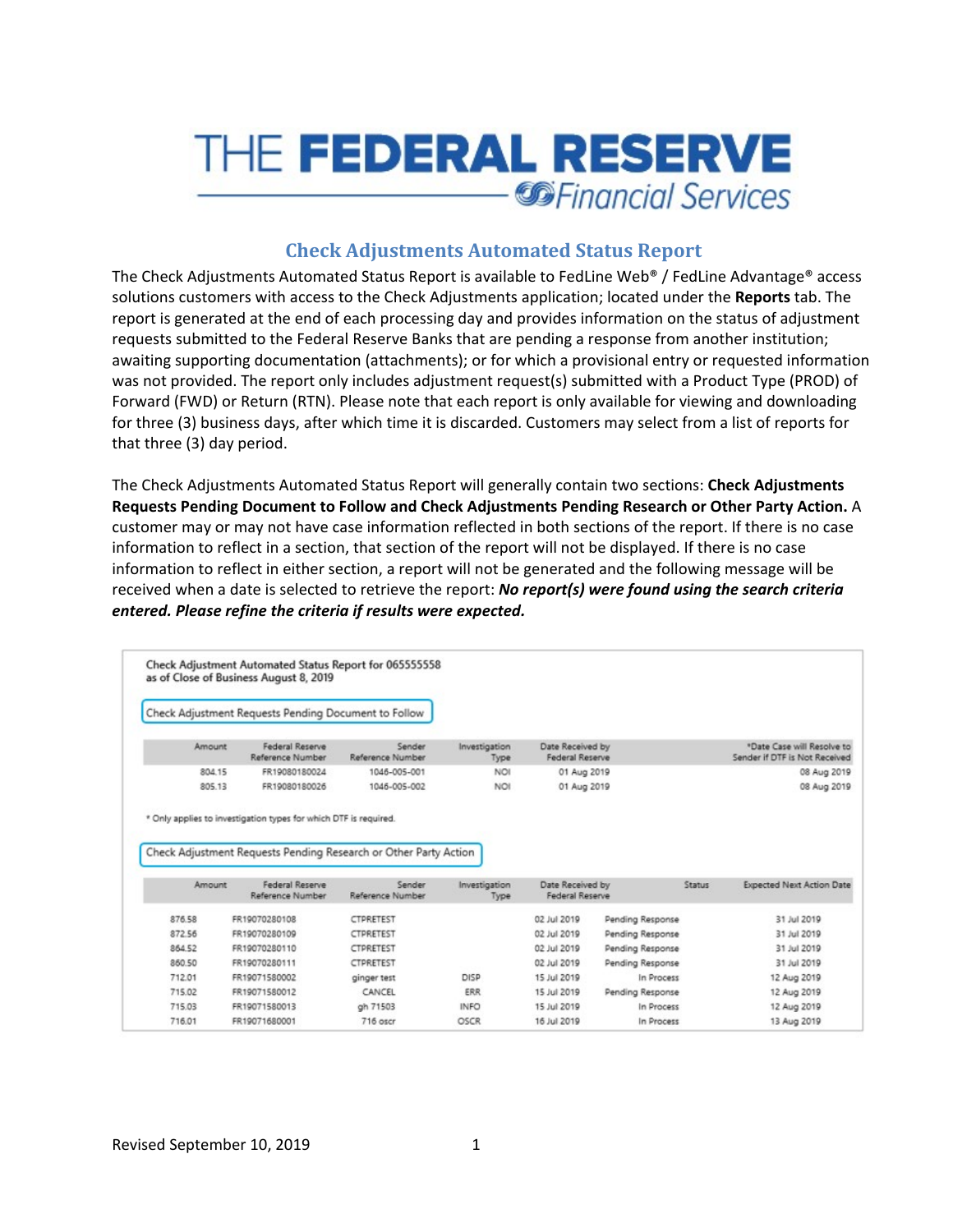

# **Check Adjustments Automated Status Report**

The Check Adjustments Automated Status Report is available to FedLine Web® / FedLine Advantage® access solutions customers with access to the Check Adjustments application; located under the **Reports** tab. The report is generated at the end of each processing day and provides information on the status of adjustment requests submitted to the Federal Reserve Banks that are pending a response from another institution; awaiting supporting documentation (attachments); or for which a provisional entry or requested information was not provided. The report only includes adjustment request(s) submitted with a Product Type (PROD) of Forward (FWD) or Return (RTN). Please note that each report is only available for viewing and downloading for three (3) business days, after which time it is discarded. Customers may select from a list of reports for that three (3) day period.

The Check Adjustments Automated Status Report will generally contain two sections: **Check Adjustments Requests Pending Document to Follow and Check Adjustments Pending Research or Other Party Action.** A customer may or may not have case information reflected in both sections of the report. If there is no case information to reflect in a section, that section of the report will not be displayed. If there is no case information to reflect in either section, a report will not be generated and the following message will be received when a date is selected to retrieve the report: *No report(s) were found using the search criteria entered. Please refine the criteria if results were expected.* 

|        | Check Adjustment Requests Pending Document to Follow             |                            |                       |                                     |                  |        |                                                             |
|--------|------------------------------------------------------------------|----------------------------|-----------------------|-------------------------------------|------------------|--------|-------------------------------------------------------------|
| Amount | Federal Reserve<br>Reference Number                              | Sender<br>Reference Number | Investigation<br>Type | Date Received by<br>Federal Reserve |                  |        | *Date Case will Resolve to<br>Sender if DTF is Not Received |
| 804.15 | FR19080180024                                                    | 1046-005-001               | <b>NOI</b>            | 01 Aug 2019                         |                  |        | 08 Aug 2019                                                 |
| 805.13 | FR19080180026                                                    | 1046-005-002               | NO                    | 01 Aug 2019                         |                  |        | 08 Aug 2019                                                 |
|        | Check Adjustment Requests Pending Research or Other Party Action |                            |                       |                                     |                  |        |                                                             |
| Amount | Federal Reserve<br>Reference Number                              | Sender<br>Reference Number | Investigation<br>Type | Date Received by<br>Federal Reserve |                  | Status |                                                             |
| 876.58 | FR19070280108                                                    | CTPRETEST                  |                       | 02 Jul 2019                         | Pending Response |        | 31 Jul 2019                                                 |
| 872.56 | FR19070280109                                                    | CTPRETEST                  |                       | 02 Jul 2019                         | Pending Response |        | 31 Jul 2019                                                 |
| 864 52 | FR19070280110                                                    | CTPRETEST                  |                       | 02 Jul 2019                         | Pending Response |        | 31 Jul 2019                                                 |
| 860.50 | FR19070280111                                                    | CTPRETEST                  |                       | 02 Jul 2019                         | Pending Response |        | 31 Jul 2019                                                 |
| 712.01 | FR19071580002                                                    | ginger test                | DISP                  | 15 Jul 2019                         | In Process       |        | 12 Aug 2019                                                 |
| 715.02 | FR19071580012                                                    | CANCEL                     | <b>ERR</b>            | 15 Jul 2019                         | Pending Response |        | 12 Aug 2019                                                 |
| 715.03 | FR19071580013                                                    | gh 71503                   | <b>INFO</b>           | 15 Jul 2019                         | In Process       |        | <b>Expected Next Action Date</b><br>12 Aug 2019             |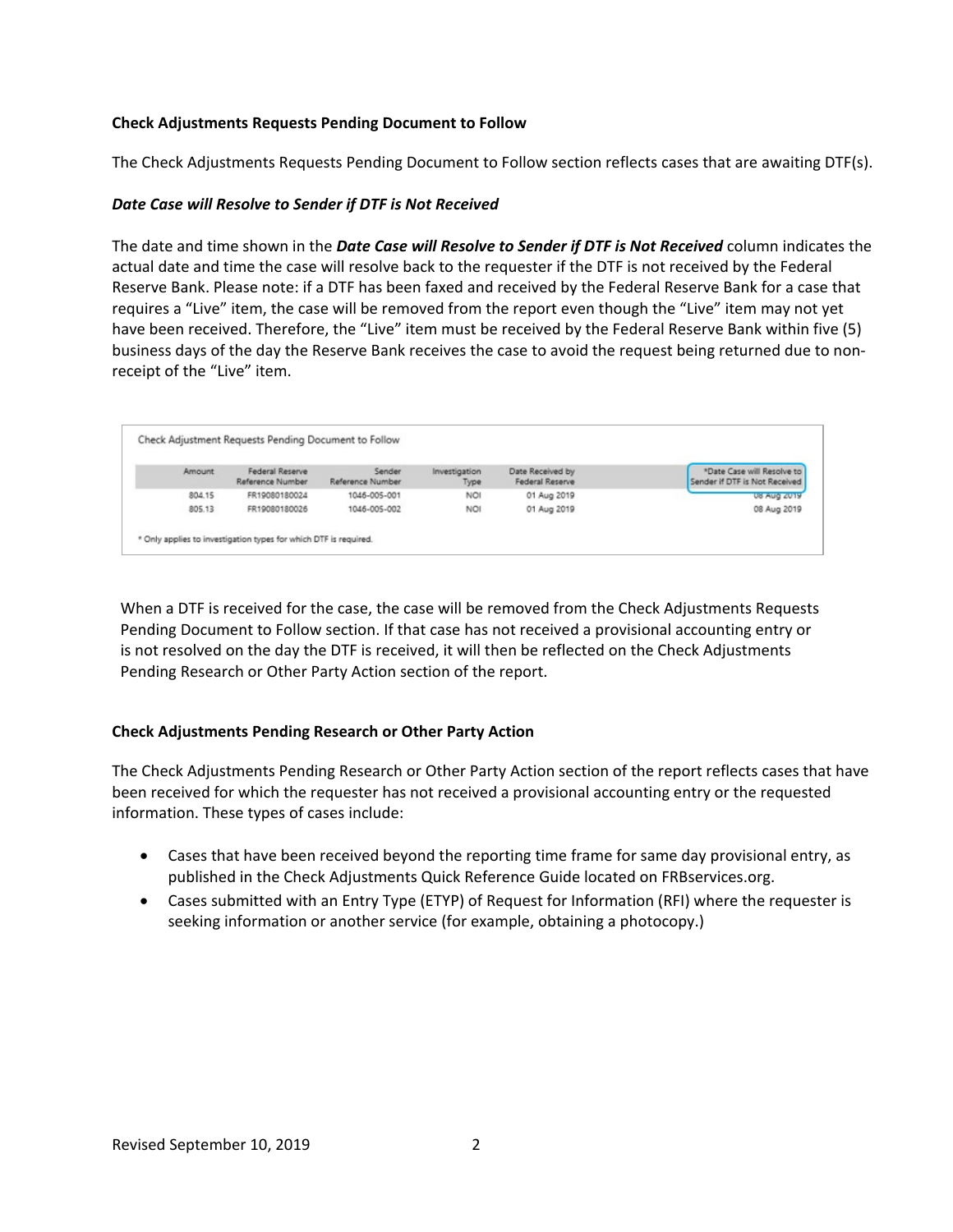## **Check Adjustments Requests Pending Document to Follow**

The Check Adjustments Requests Pending Document to Follow section reflects cases that are awaiting DTF(s).

## *Date Case will Resolve to Sender if DTF is Not Received*

The date and time shown in the *Date Case will Resolve to Sender if DTF is Not Received* column indicates the actual date and time the case will resolve back to the requester if the DTF is not received by the Federal Reserve Bank. Please note: if a DTF has been faxed and received by the Federal Reserve Bank for a case that requires a "Live" item, the case will be removed from the report even though the "Live" item may not yet have been received. Therefore, the "Live" item must be received by the Federal Reserve Bank within five (5) business days of the day the Reserve Bank receives the case to avoid the request being returned due to nonreceipt of the "Live" item.

| Amount | Federal Reserve<br>Reference Number | Sender<br>Reference Number | Investigation<br>Type | Date Received by<br>Federal Reserve | *Date Case will Resolve to<br>Sender if DTF is Not Received |
|--------|-------------------------------------|----------------------------|-----------------------|-------------------------------------|-------------------------------------------------------------|
| 804.15 | FR19080180024                       | 1046-005-001               | <b>NOI</b>            | 01 Aug 2019                         | US AUG ZU19                                                 |
| 805.13 | FR19080180026                       | 1046-005-002               | NOI                   | 01 Aug 2019                         | 08 Aug 2019                                                 |

When a DTF is received for the case, the case will be removed from the Check Adjustments Requests Pending Document to Follow section. If that case has not received a provisional accounting entry or is not resolved on the day the DTF is received, it will then be reflected on the Check Adjustments Pending Research or Other Party Action section of the report.

### **Check Adjustments Pending Research or Other Party Action**

The Check Adjustments Pending Research or Other Party Action section of the report reflects cases that have been received for which the requester has not received a provisional accounting entry or the requested information. These types of cases include:

- Cases that have been received beyond the reporting time frame for same day provisional entry, as published in the Check Adjustments Quick Reference Guide located on FRBservices.org.
- Cases submitted with an Entry Type (ETYP) of Request for Information (RFI) where the requester is seeking information or another service (for example, obtaining a photocopy.)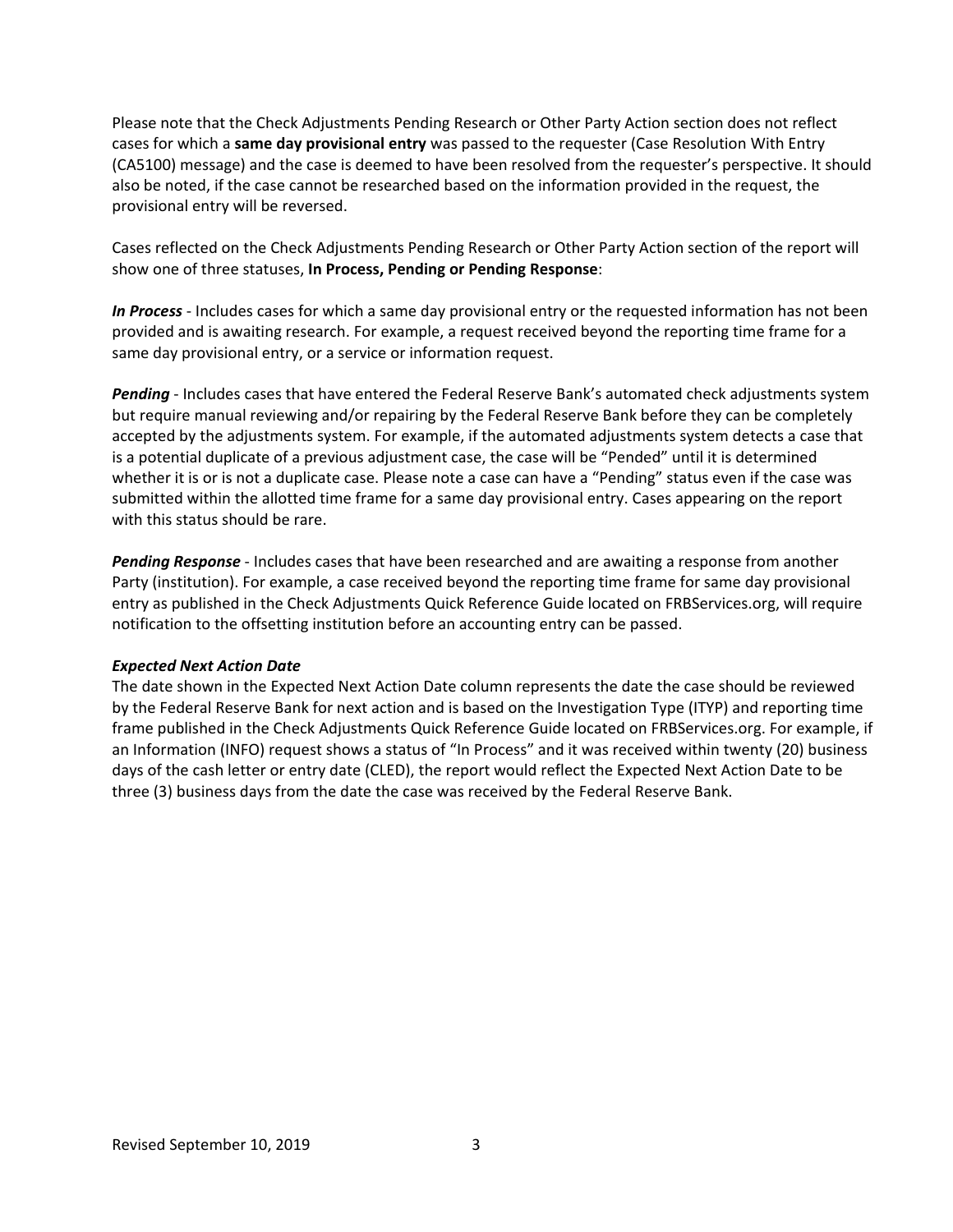Please note that the Check Adjustments Pending Research or Other Party Action section does not reflect cases for which a **same day provisional entry** was passed to the requester (Case Resolution With Entry (CA5100) message) and the case is deemed to have been resolved from the requester's perspective. It should also be noted, if the case cannot be researched based on the information provided in the request, the provisional entry will be reversed.

Cases reflected on the Check Adjustments Pending Research or Other Party Action section of the report will show one of three statuses, **In Process, Pending or Pending Response**:

*In Process* - Includes cases for which a same day provisional entry or the requested information has not been provided and is awaiting research. For example, a request received beyond the reporting time frame for a same day provisional entry, or a service or information request.

*Pending* - Includes cases that have entered the Federal Reserve Bank's automated check adjustments system but require manual reviewing and/or repairing by the Federal Reserve Bank before they can be completely accepted by the adjustments system. For example, if the automated adjustments system detects a case that is a potential duplicate of a previous adjustment case, the case will be "Pended" until it is determined whether it is or is not a duplicate case. Please note a case can have a "Pending" status even if the case was submitted within the allotted time frame for a same day provisional entry. Cases appearing on the report with this status should be rare.

*Pending Response* - Includes cases that have been researched and are awaiting a response from another Party (institution). For example, a case received beyond the reporting time frame for same day provisional entry as published in the Check Adjustments Quick Reference Guide located on FRBServices.org, will require notification to the offsetting institution before an accounting entry can be passed.

### *Expected Next Action Date*

The date shown in the Expected Next Action Date column represents the date the case should be reviewed by the Federal Reserve Bank for next action and is based on the Investigation Type (ITYP) and reporting time frame published in the Check Adjustments Quick Reference Guide located on FRBServices.org. For example, if an Information (INFO) request shows a status of "In Process" and it was received within twenty (20) business days of the cash letter or entry date (CLED), the report would reflect the Expected Next Action Date to be three (3) business days from the date the case was received by the Federal Reserve Bank.